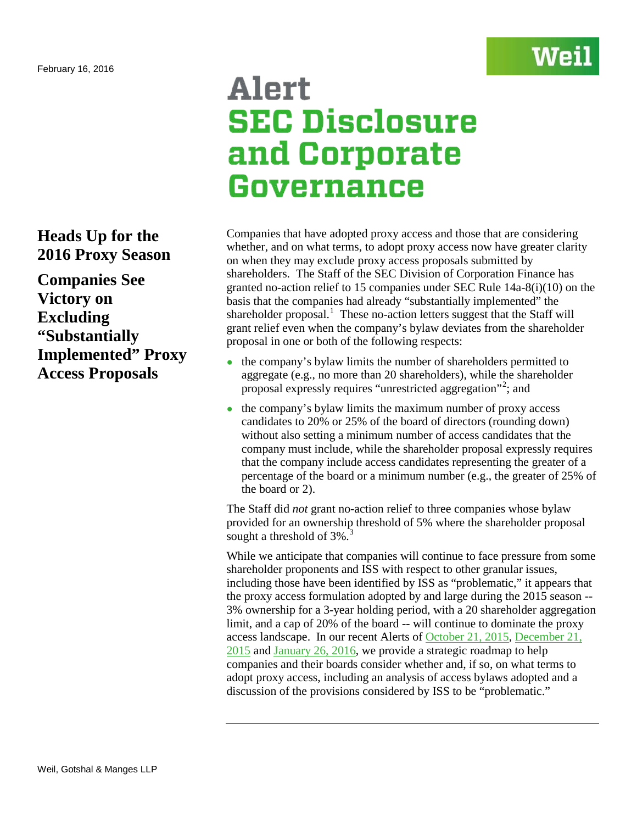## Wei

### **Heads Up for the 2016 Proxy Season**

**Companies See Victory on Excluding "Substantially Implemented" Proxy Access Proposals**

# Alert **SEC Disclosure** and Corporate Governance

Companies that have adopted proxy access and those that are considering whether, and on what terms, to adopt proxy access now have greater clarity on when they may exclude proxy access proposals submitted by shareholders. The Staff of the SEC Division of Corporation Finance has granted no-action relief to 15 companies under SEC Rule 14a-8(i)(10) on the basis that the companies had already "substantially implemented" the shareholder proposal.<sup>[1](#page-1-0)</sup> These no-action letters suggest that the Staff will grant relief even when the company's bylaw deviates from the shareholder proposal in one or both of the following respects:

- the company's bylaw limits the number of shareholders permitted to aggregate (e.g., no more than 20 shareholders), while the shareholder proposal expressly requires "unrestricted aggregation"<sup>[2](#page-1-1)</sup>; and
- the company's bylaw limits the maximum number of proxy access candidates to 20% or 25% of the board of directors (rounding down) without also setting a minimum number of access candidates that the company must include, while the shareholder proposal expressly requires that the company include access candidates representing the greater of a percentage of the board or a minimum number (e.g., the greater of 25% of the board or 2).

The Staff did *not* grant no-action relief to three companies whose bylaw provided for an ownership threshold of 5% where the shareholder proposal sought a threshold of  $3\%$  $3\%$ .

While we anticipate that companies will continue to face pressure from some shareholder proponents and ISS with respect to other granular issues, including those have been identified by ISS as "problematic," it appears that the proxy access formulation adopted by and large during the 2015 season -- 3% ownership for a 3-year holding period, with a 20 shareholder aggregation limit, and a cap of 20% of the board -- will continue to dominate the proxy access landscape. In our recent Alerts of [October 21, 2015,](http://www.weil.com/%7E/media/files/pdfs/150660_pcag_alert_oct2015_v15_final.pdf) [December 21,](http://www.weil.com/%7E/media/files/pdfs/alert--iss-new-faqs-reproxy-access-formatted-versionfinal.pdf)  [2015](http://www.weil.com/%7E/media/files/pdfs/alert--iss-new-faqs-reproxy-access-formatted-versionfinal.pdf) and [January 26, 2016,](http://www.weil.com/%7E/media/files/pdfs/1_22_16_governance-alert_final2.pdf) we provide a strategic roadmap to help companies and their boards consider whether and, if so, on what terms to adopt proxy access, including an analysis of access bylaws adopted and a discussion of the provisions considered by ISS to be "problematic."